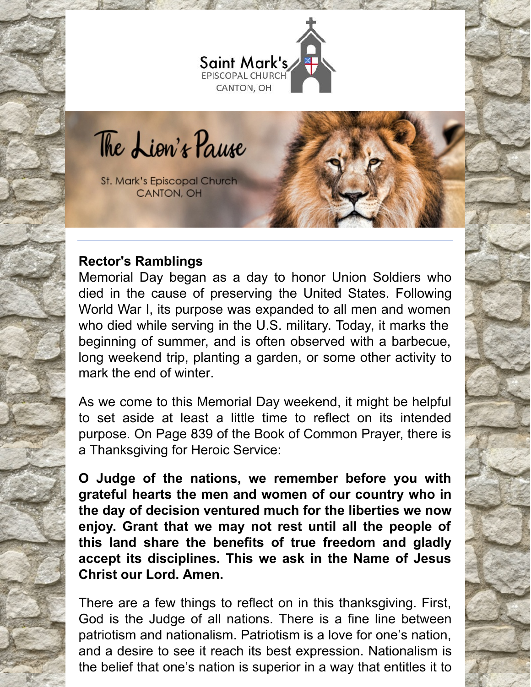

The Lion's Pause

St. Mark's Episcopal Church CANTON, OH

# **Rector's Ramblings**

Memorial Day began as a day to honor Union Soldiers who died in the cause of preserving the United States. Following World War I, its purpose was expanded to all men and women who died while serving in the U.S. military. Today, it marks the beginning of summer, and is often observed with a barbecue, long weekend trip, planting a garden, or some other activity to mark the end of winter.

As we come to this Memorial Day weekend, it might be helpful to set aside at least a little time to reflect on its intended purpose. On Page 839 of the Book of Common Prayer, there is a Thanksgiving for Heroic Service:

**O Judge of the nations, we remember before you with grateful hearts the men and women of our country who in the day of decision ventured much for the liberties we now enjoy. Grant that we may not rest until all the people of this land share the benefits of true freedom and gladly accept its disciplines. This we ask in the Name of Jesus Christ our Lord. Amen.**

There are a few things to reflect on in this thanksgiving. First, God is the Judge of all nations. There is a fine line between patriotism and nationalism. Patriotism is a love for one's nation, and a desire to see it reach its best expression. Nationalism is the belief that one's nation is superior in a way that entitles it to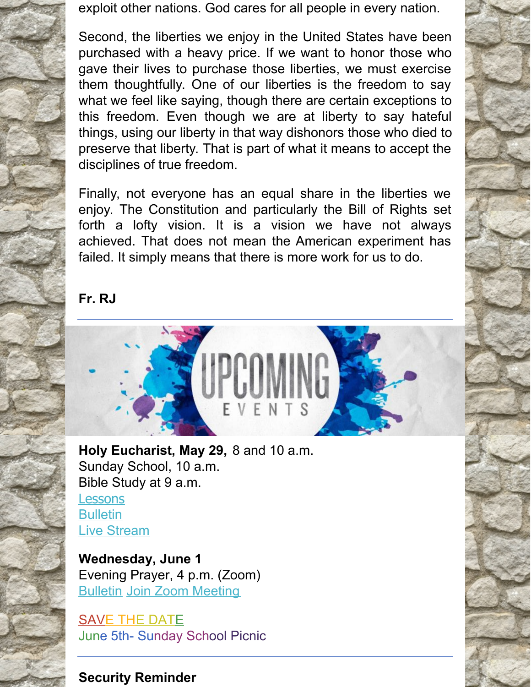exploit other nations. God cares for all people in every nation.

Second, the liberties we enjoy in the United States have been purchased with a heavy price. If we want to honor those who gave their lives to purchase those liberties, we must exercise them thoughtfully. One of our liberties is the freedom to say what we feel like saying, though there are certain exceptions to this freedom. Even though we are at liberty to say hateful things, using our liberty in that way dishonors those who died to preserve that liberty. That is part of what it means to accept the disciplines of true freedom.

Finally, not everyone has an equal share in the liberties we enjoy. The Constitution and particularly the Bill of Rights set forth a lofty vision. It is a vision we have not always achieved. That does not mean the American experiment has failed. It simply means that there is more work for us to do.

**Fr. RJ**



**Holy Eucharist, May 29,** 8 and 10 a.m. Sunday School, 10 a.m. Bible Study at 9 a.m. **[Lessons](http://lectionarypage.net/YearC_RCL/Easter/CEaster7_RCL.html) [Bulletin](https://files.constantcontact.com/32ed7374201/3fba2fa4-5e13-45e9-83c3-90602cd843a4.pdf)** Live [Stream](https://www.facebook.com/stmarks.canton)

**Wednesday, June 1** Evening Prayer, 4 p.m. (Zoom) **[Bulletin](https://files.constantcontact.com/32ed7374201/6eeb01c6-2875-49a3-ba3d-34236da2a38d.pdf) Join Zoom [Meeting](https://us06web.zoom.us/j/89655591049?pwd=bFdrRFlxMzB0N25NVFN3MWZQZ0NJdz09)** 

SAVE THE DATE June 5th- Sunday School Picnic

### **Security Reminder**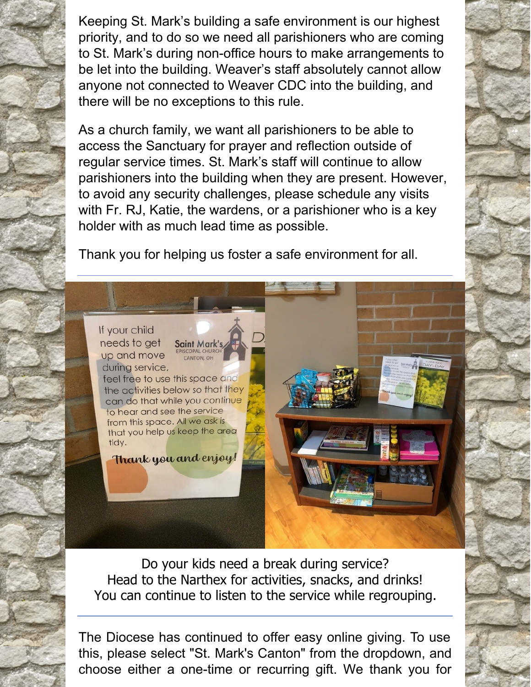Keeping St. Mark's building a safe environment is our highest priority, and to do so we need all parishioners who are coming to St. Mark's during non-office hours to make arrangements to be let into the building. Weaver's staff absolutely cannot allow anyone not connected to Weaver CDC into the building, and there will be no exceptions to this rule.

As a church family, we want all parishioners to be able to access the Sanctuary for prayer and reflection outside of regular service times. St. Mark's staff will continue to allow parishioners into the building when they are present. However, to avoid any security challenges, please schedule any visits with Fr. RJ, Katie, the wardens, or a parishioner who is a key holder with as much lead time as possible.

Thank you for helping us foster a safe environment for all.

If your child needs to get Saint Mark's up and move during service,

feel free to use this space and the activities below so that they can do that while you continue to hear and see the service from this space. All we ask is that you help us keep the area tidy.

**PISCOPAL CHURC** 

CANTON, OH

Thank you and enjoy!

Do your kids need a break during service? Head to the Narthex for activities, snacks, and drinks! You can continue to listen to the service while regrouping.

The Diocese has continued to offer easy online giving. To use this, please select "St. Mark's Canton" from the dropdown, and choose either a one-time or recurring gift. We thank you for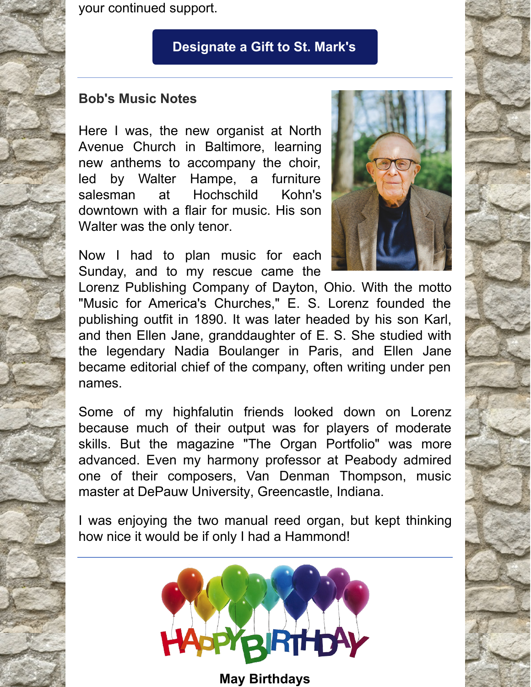your continued support.

## **[Designate](https://dohio.org/designate-a-gift-to-your-parish) a Gift to St. Mark's**

#### **Bob's Music Notes**

Here I was, the new organist at North Avenue Church in Baltimore, learning new anthems to accompany the choir, led by Walter Hampe, a furniture salesman at Hochschild Kohn's downtown with a flair for music. His son Walter was the only tenor.



Now I had to plan music for each Sunday, and to my rescue came the

Lorenz Publishing Company of Dayton, Ohio. With the motto "Music for America's Churches," E. S. Lorenz founded the publishing outfit in 1890. It was later headed by his son Karl, and then Ellen Jane, granddaughter of E. S. She studied with the legendary Nadia Boulanger in Paris, and Ellen Jane became editorial chief of the company, often writing under pen names.

Some of my highfalutin friends looked down on Lorenz because much of their output was for players of moderate skills. But the magazine "The Organ Portfolio" was more advanced. Even my harmony professor at Peabody admired one of their composers, Van Denman Thompson, music master at DePauw University, Greencastle, Indiana.

I was enjoying the two manual reed organ, but kept thinking how nice it would be if only I had a Hammond!



**May Birthdays**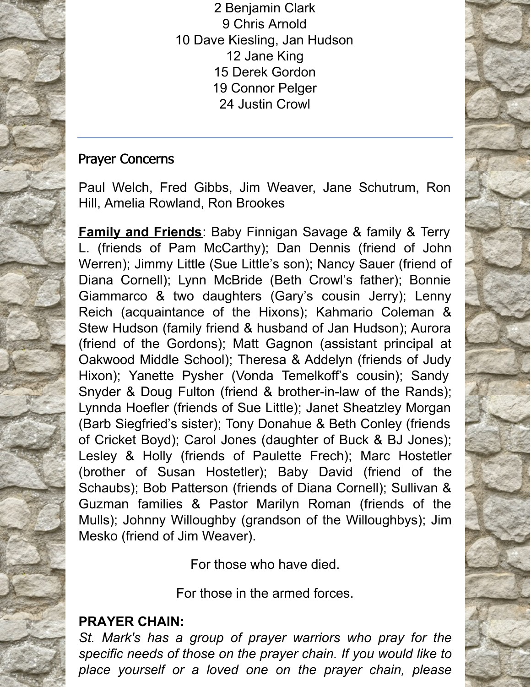Benjamin Clark Chris Arnold Dave Kiesling, Jan Hudson Jane King Derek Gordon Connor Pelger Justin Crowl

## Prayer Concerns

Paul Welch, Fred Gibbs, Jim Weaver, Jane Schutrum, Ron Hill, Amelia Rowland, Ron Brookes

**Family and Friends**: Baby Finnigan Savage & family & Terry L. (friends of Pam McCarthy); Dan Dennis (friend of John Werren); Jimmy Little (Sue Little's son); Nancy Sauer (friend of Diana Cornell); Lynn McBride (Beth Crowl's father); Bonnie Giammarco & two daughters (Gary's cousin Jerry); Lenny Reich (acquaintance of the Hixons); Kahmario Coleman & Stew Hudson (family friend & husband of Jan Hudson); Aurora (friend of the Gordons); Matt Gagnon (assistant principal at Oakwood Middle School); Theresa & Addelyn (friends of Judy Hixon); Yanette Pysher (Vonda Temelkoff's cousin); Sandy Snyder & Doug Fulton (friend & brother-in-law of the Rands); Lynnda Hoefler (friends of Sue Little); Janet Sheatzley Morgan (Barb Siegfried's sister); Tony Donahue & Beth Conley (friends of Cricket Boyd); Carol Jones (daughter of Buck & BJ Jones); Lesley & Holly (friends of Paulette Frech); Marc Hostetler (brother of Susan Hostetler); Baby David (friend of the Schaubs); Bob Patterson (friends of Diana Cornell); Sullivan & Guzman families & Pastor Marilyn Roman (friends of the Mulls); Johnny Willoughby (grandson of the Willoughbys); Jim Mesko (friend of Jim Weaver).

For those who have died.

For those in the armed forces.

# **PRAYER CHAIN:**

*St. Mark's has a group of prayer warriors who pray for the specific needs of those on the prayer chain. If you would like to place yourself or a loved one on the prayer chain, please*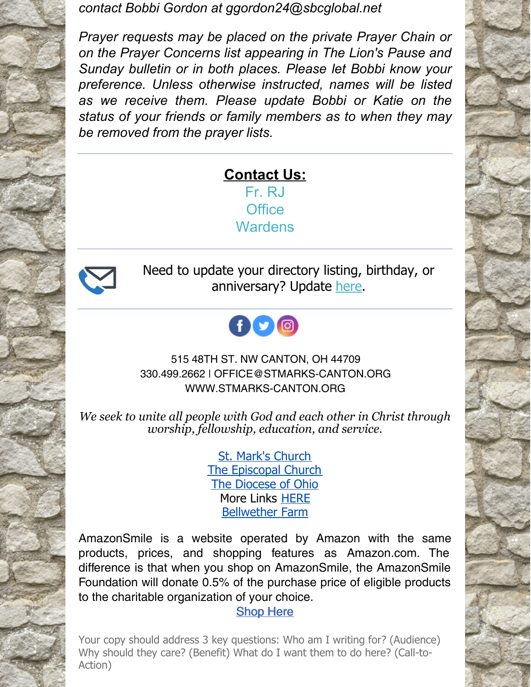*contact Bobbi Gordon at ggordon24@sbcglobal.net*

*Prayer requests may be placed on the private Prayer Chain or on the Prayer Concerns list appearing in The Lion's Pause and Sunday bulletin or in both places. Please let Bobbi know your preference. Unless otherwise instructed, names will be listed as we receive them. Please update Bobbi or Katie on the status of your friends or family members as to when they may be removed from the prayer lists.*

# **Contact Us:** [Fr.](mailto:rjohnson@stmarks-canton.org) RJ **[Office](mailto:office@stmarks-canton.org) [Wardens](mailto:stmarkscantonwardens@gmail.com)**



Need to update your directory listing, birthday, or anniversary? Update [here](https://members.instantchurchdirectory.com/).



### 515 48TH ST. NW CANTON, OH 44709 330.499.2662 | OFFICE@STMARKS-CANTON.ORG WWW.STMARKS-CANTON.ORG

*We seek to unite all people with God and each other in Christ through worship, fellowship, education, and service.*

> St. Mark's [Church](http://www.stmarks-canton.org/) The [Episcopal](http://www.episcopalchurch.org/) Church The [Diocese](http://www.dohio.org/) of Ohio More Links [HERE](http://www.stmarks-canton.org/links.html) [Bellwether](https://bellwetherfarm.com/?fbclid=IwAR1Y7vO6zNQDzSUL3xvXtdq5hVBoazRyBkmCAo_vhIBQe3oRvlfK36ERyyA) Farm

AmazonSmile is a website operated by Amazon with the same products, prices, and shopping features as Amazon.com. The difference is that when you shop on AmazonSmile, the AmazonSmile Foundation will donate 0.5% of the purchase price of eligible products to the charitable organization of your choice.

#### [Shop](https://smile.amazon.com/ch/34-0812879) Here

Your copy should address 3 key questions: Who am I writing for? (Audience) Why should they care? (Benefit) What do I want them to do here? (Call-to-Action)